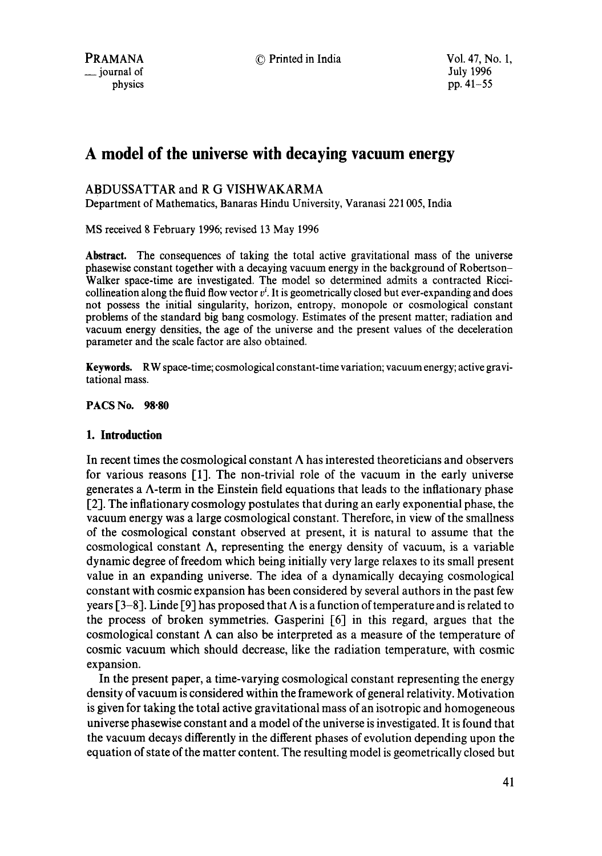# **A model of the universe with decaying vacuum energy**

## ABDUSSATTAR and R G VISHWAKARMA

Department of Mathematics, Banaras Hindu University, Varanasi 221005, India

MS received 8 February 1996; revised 13 May 1996

**Abstract.** The consequences of taking the total active gravitational mass of the universe phasewise constant together with a decaying vacuum energy in the background of Robertson-Walker space-time are investigated. The model so determined admits a contracted Riccicollineation along the fluid flow vector  $v^i$ . It is geometrically closed but ever-expanding and does not possess the initial singularity, horizon, entropy, monopole or cosmological constant problems of the standard big bang cosmology. Estimates of the present matter; radiation and vacuum energy densities, the age of the universe and the present values of the deceleration parameter and the scale factor are also obtained.

Keywords. RW space-time; cosmological constant-time variation; vacuum energy; active gravitational mass.

**PACS No. 98.80** 

## **1. Introduction**

In recent times the cosmological constant  $\Lambda$  has interested theoreticians and observers for various reasons [1]. The non-trivial role of the vacuum in the early universe generates a A-term in the Einstein field equations that leads to the inflationary phase [2]. The inflationary cosmology postulates that during an early exponential phase, the vacuum energy was a large cosmological constant. Therefore, in view of the smallness of the cosmological constant observed at present, it is natural to assume that the cosmological constant  $\Lambda$ , representing the energy density of vacuum, is a variable dynamic degree of freedom which being initially very large relaxes to its small present value in an expanding universe. The idea of a dynamically decaying cosmological constant with cosmic expansion has been considered by several authors in the past few years  $[3-8]$ . Linde [9] has proposed that  $\Lambda$  is a function of temperature and is related to the process of broken symmetries. Gasperini  $[6]$  in this regard, argues that the cosmological constant  $\Lambda$  can also be interpreted as a measure of the temperature of cosmic vacuum which should decrease, like the radiation temperature, with cosmic expansion.

In the present paper, a time-varying cosmological constant representing the energy density of vacuum is considered within the framework of general relativity. Motivation is given for taking the total active gravitational mass of an isotropic and homogeneous universe phasewise constant and a model of the universe is investigated. It is found that the vacuum decays differently in the different phases of evolution depending upon the equation of state of the matter content. The resulting model is geometrically closed but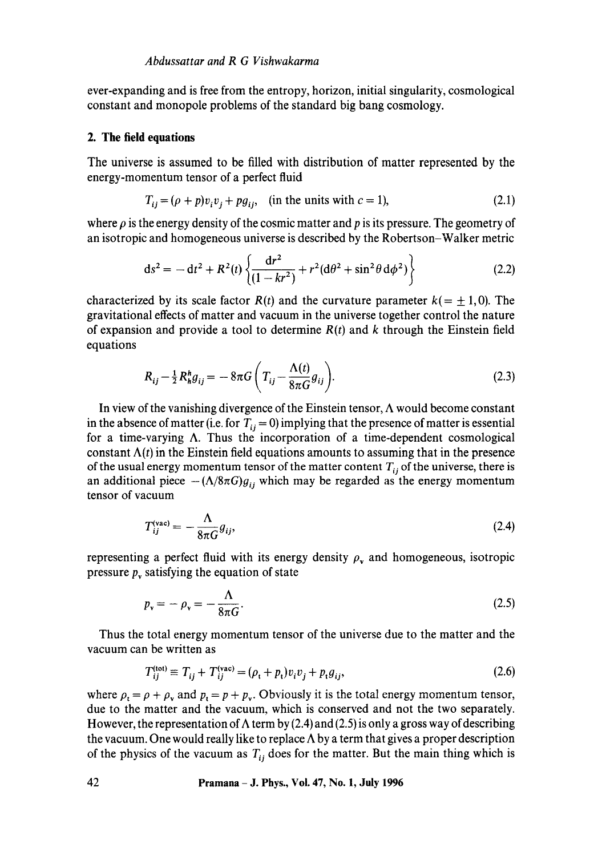ever-expanding and is free from the entropy, horizon, initial singularity, cosmological constant and monopole problems of the standard big bang cosmology.

#### **2. The field equations**

The universe is assumed to be filled with distribution of matter represented by the energy-momentum tensor of a perfect fluid

$$
T_{ij} = (\rho + p)v_i v_j + pg_{ij}, \quad \text{(in the units with } c = 1), \tag{2.1}
$$

where  $\rho$  is the energy density of the cosmic matter and p is its pressure. The geometry of an isotropic and homogeneous universe is described by the Robertson-Walker metric

$$
ds^{2} = -dt^{2} + R^{2}(t) \left\{ \frac{dr^{2}}{(1 - kr^{2})} + r^{2} (d\theta^{2} + \sin^{2} \theta d\phi^{2}) \right\}
$$
 (2.2)

characterized by its scale factor  $R(t)$  and the curvature parameter  $k(=\pm 1, 0)$ . The gravitational effects of matter and vacuum in the universe together control the nature of expansion and provide a tool to determine  $R(t)$  and k through the Einstein field equations

$$
R_{ij} - \frac{1}{2} R_h^h g_{ij} = -8\pi G \left( T_{ij} - \frac{\Lambda(t)}{8\pi G} g_{ij} \right).
$$
 (2.3)

In view of the vanishing divergence of the Einstein tensor,  $\Lambda$  would become constant in the absence of matter (i.e. for  $T_{ii} = 0$ ) implying that the presence of matter is essential for a time-varying  $\Lambda$ . Thus the incorporation of a time-dependent cosmological constant  $\Lambda(t)$  in the Einstein field equations amounts to assuming that in the presence of the usual energy momentum tensor of the matter content  $T_{ii}$  of the universe, there is an additional piece  $-(\Lambda/8\pi G)g_{ii}$  which may be regarded as the energy momentum tensor of vacuum

$$
T_{ij}^{(\text{vac})} = -\frac{\Lambda}{8\pi G} g_{ij},\tag{2.4}
$$

representing a perfect fluid with its energy density  $\rho<sub>v</sub>$  and homogeneous, isotropic pressure  $p_{v}$  satisfying the equation of state

$$
p_{\rm v} = -\rho_{\rm v} = -\frac{\Lambda}{8\pi G}.\tag{2.5}
$$

Thus the total energy momentum tensor of the universe due to the matter and the vacuum can be written as

$$
T_{ij}^{(\text{tot})} \equiv T_{ij} + T_{ij}^{(\text{vac})} = (\rho_t + p_t)v_i v_j + p_t g_{ij}, \tag{2.6}
$$

where  $\rho_t = \rho + \rho_v$  and  $p_t = p + p_v$ . Obviously it is the total energy momentum tensor, due to the matter and the vacuum, which is conservcd and not the two separately. However, the representation of  $\Lambda$  term by (2.4) and (2.5) is only a gross way of describing the vacuum. One would really like to replace  $\Lambda$  by a term that gives a proper description of the physics of the vacuum as  $T_{ii}$  does for the matter. But the main thing which is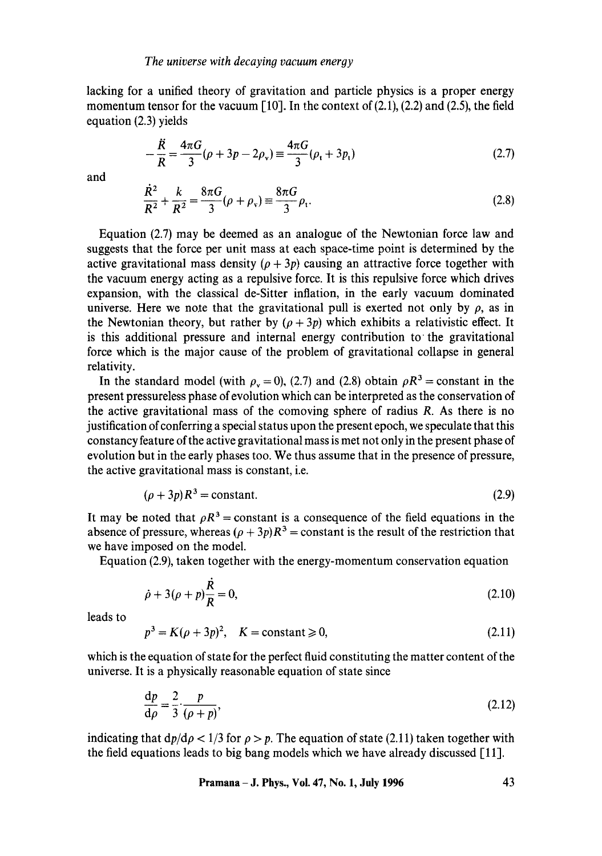lacking for a unified theory of gravitation and particle physics is a proper energy momentum tensor for the vacuum [10]. In the context of  $(2.1)$ ,  $(2.2)$  and  $(2.5)$ , the field equation (2.3) yields

$$
-\frac{\ddot{R}}{R} = \frac{4\pi G}{3}(\rho + 3p - 2\rho_v) \equiv \frac{4\pi G}{3}(\rho_t + 3p_t)
$$
 (2.7)

and

$$
\frac{\dot{R}^2}{R^2} + \frac{k}{R^2} = \frac{8\pi G}{3} (\rho + \rho_x) \equiv \frac{8\pi G}{3} \rho_t.
$$
 (2.8)

Equation (2.7) may be deemed as an analogue of the Newtonian force law and suggests that the force per unit mass at each space-time point is determined by the active gravitational mass density  $(p + 3p)$  causing an attractive force together with the vacuum energy acting as a repulsive force. It is this repulsive force which drives expansion, with the classical de-Sitter inflation, in the early vacuum dominated universe. Here we note that the gravitational pull is exerted not only by  $\rho$ , as in the Newtonian theory, but rather by  $(\rho + 3p)$  which exhibits a relativistic effect. It is this additional pressure and internal energy contribution to the gravitational force which is the major cause of the problem of gravitational collapse in general relativity.

In the standard model (with  $\rho_v = 0$ ), (2.7) and (2.8) obtain  $\rho R^3$  = constant in the present pressureless phase of evolution which can be interpreted as the conservation of the active gravitational mass of the comoving sphere of radius R. As there is no justification of conferring a special status upon the present epoch, we speculate that this constancy feature of the active gravitational mass is met not only in the present phase of evolution but in the early phases too. We thus assume that in the presence of pressure, the active gravitational mass is constant, i.e.

$$
(\rho + 3p)R^3 = \text{constant.} \tag{2.9}
$$

It may be noted that  $\rho R^3$  = constant is a consequence of the field equations in the absence of pressure, whereas  $(\rho + 3p)R^3$  = constant is the result of the restriction that we have imposed on the model.

Equation (2.9), taken together with the energy-momentum conservation equation

$$
\dot{\rho} + 3(\rho + p)\frac{\dot{R}}{R} = 0,\tag{2.10}
$$

leads to

$$
p3 = K(\rho + 3p)2, \quad K = constant \ge 0,
$$
\n(2.11)

which is the equation of state for the perfect fluid constituting the matter content of the universe. It is a physically reasonable equation of state since

$$
\frac{\mathrm{d}p}{\mathrm{d}\rho} = \frac{2}{3} \cdot \frac{p}{(\rho + p)},\tag{2.12}
$$

indicating that  $dp/d\rho < 1/3$  for  $\rho > p$ . The equation of state (2.11) taken together with the field equations leads to big bang models which we have already discussed  $\lceil 11 \rceil$ .

**Pramana - J. Phys., Vol. 47, No. 1, July 1996 43**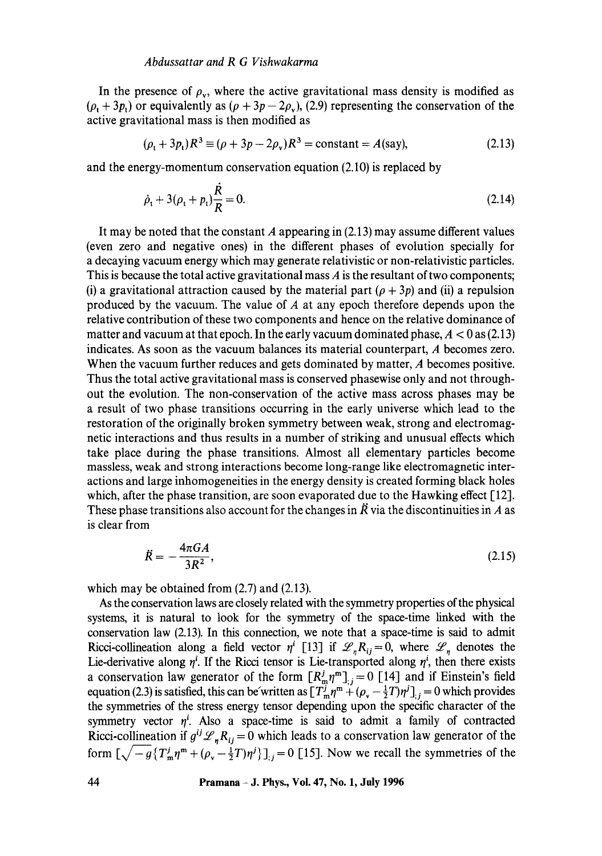#### *Abdussattar and R G Vishwakarma*

In the presence of  $\rho_v$ , where the active gravitational mass density is modified as  $(\rho_t + 3p_t)$  or equivalently as  $(\rho + 3p - 2p_y)$ , (2.9) representing the conservation of the active gravitational mass is then modified as

$$
(\rho_t + 3p_t)R^3 \equiv (\rho + 3p - 2\rho_v)R^3 = \text{constant} = A(\text{say}),\tag{2.13}
$$

and the energy-momentum conservation equation (2.10) is replaced by

$$
\dot{\rho}_t + 3(\rho_t + p_t)\frac{\dot{R}}{R} = 0.
$$
\n(2.14)

It may be noted that the constant A appearing in  $(2.13)$  may assume different values (even zero and negative ones) in the different phases of evolution specially for a decaying vacuum energy which may generate relativistic or non-relativistic particles. This is because the total active gravitational mass A is the resultant of two components; (i) a gravitational attraction caused by the material part  $(\rho + 3p)$  and (ii) a repulsion produced by the vacuum. The value of  $A$  at any epoch therefore depends upon the relative contribution of these two components and hence on the relative dominance of matter and vacuum at that epoch. In the early vacuum dominated phase,  $A < 0$  as (2.13) indicates. As soon as the vacuum balances its material counterpart, A becomes zero. When the vacuum further reduces and gets dominated by matter, A becomes positive. Thus the total active gravitational mass is conserved phasewise only and not throughout the evolution. The non-conservation of the active mass across phases may be a result of two phase transitions occurring in the early universe which lead to the restoration of the originally broken symmetry between weak, strong and electromagnetic interactions and thus results in a number of striking and unusual effects which take place during the phase transitions. Almost all elementary particles become massless, weak and strong interactions become long-range like electromagnetic interactions and large inhomogeneities in the energy density is created forming black holes which, after the phase transition, are soon evaporated due to the Hawking effect  $[12]$ . These phase transitions also account for the changes in  $\vec{R}$  via the discontinuities in A as is clear from

$$
\ddot{R} = -\frac{4\pi GA}{3R^2},\tag{2.15}
$$

which may be obtained from  $(2.7)$  and  $(2.13)$ .

As the conservation laws are closely related with the symmetry properties of the physical systems, it is natural to look for the symmetry of the space-time linked with the conservation law (2.13). In this connection, we note that a space-time is said to admit Ricci-collineation along a field vector  $\eta^i$  [13] if  $\mathscr{L}_n R_{ij} = 0$ , where  $\mathscr{L}_n$  denotes the Lie-derivative along  $\eta^i$ . If the Ricci tensor is Lie-transported along  $\eta^i$ , then there exists a conservation law generator of the form  $[R_m^T \eta^m]_{ij} = 0$  [14] and if Einstein's field equation (2.3) is satisfied, this can be written as  $[T_m^j m^m + (\rho_v - \frac{1}{2}T)\eta^j]_{ij} = 0$  which provides the symmetries of the stress energy tensor depending upon the specific character of the symmetry vector  $\eta^i$ . Also a space-time is said to admit a family of contracted Ricci-collineation if  $g^{ij}\mathscr{L}_n R_{ij} = 0$  which leads to a conservation law generator of the form  $\left[\sqrt{-g}\left\{T_{\rm m}^j\eta^{\rm m}+(\rho_{\rm v}-\frac{1}{2}T)\eta^j\right\}\right]$ ; = 0 [15]. Now we recall the symmetries of the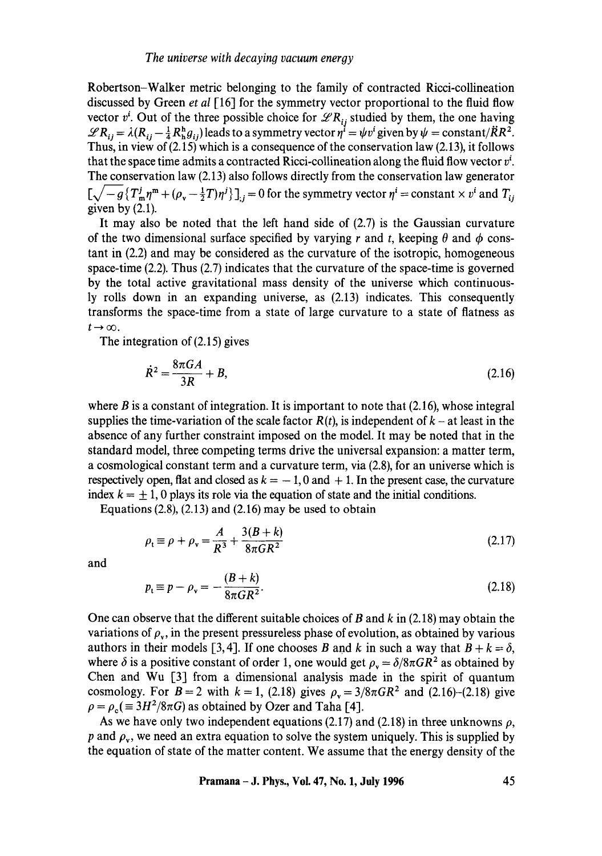Robertson-Walker metric belonging to the family of contracted Ricci-collineation discussed by Green *et al* [16] for the symmetry vector proportional to the fluid flow vector  $v^i$ . Out of the three possible choice for  $\mathscr{L}R_{ij}$  studied by them, the one having  $\mathscr{L}R_{ij} = \lambda(R_{ij} - \frac{1}{4}R_h^h g_{ij})$  leads to a symmetry vector  $\eta^i = \psi v^i$  given by  $\psi = \text{constant}/\ddot{R}R^2$ . Thus, in view of (2.15) which is a consequence of the conservation law (2.13), it follows that the space time admits a contracted Ricci-collineation along the fluid flow vector  $v^i$ . The conservation law (2.13) also follows directly from the conservation law generator  $\left[\sqrt{-g} \left\{T_m^j\eta^m + (\rho_v - \frac{1}{2}T)\eta^j\right\}\right]_i = 0$  for the symmetry vector  $\eta^i$  = constant  $\times v^i$  and  $T_{ij}$ given by  $(2.1)$ .

It may also be noted that the left hand side of (2.7) is the Gaussian curvature of the two dimensional surface specified by varying r and t, keeping  $\theta$  and  $\phi$  constant in (2.2) and may be considered as the curvature of the isotropic, homogeneous space-time (2.2). Thus (2.7) indicates that the curvature of the space-time is governed by the total active gravitational mass density of the universe which continuously rolls down in an expanding universe, as (2.13) indicates. This consequently transforms the space-time from a state of large curvature to a state of flatness as  $t\rightarrow\infty$ .

The integration of (2.15) gives

$$
\dot{R}^2 = \frac{8\pi GA}{3R} + B,\tag{2.16}
$$

where  $\hat{B}$  is a constant of integration. It is important to note that (2.16), whose integral supplies the time-variation of the scale factor  $R(t)$ , is independent of  $k - at$  least in the absence of any further constraint imposed on the model. It may be noted that in the standard model, three competing terms drive the universal expansion: a matter term, a cosmological constant term and a curvature term, via (2.8), for an universe which is respectively open, flat and closed as  $k = -1, 0$  and  $+1$ . In the present case, the curvature index  $k = \pm 1$ , 0 plays its role via the equation of state and the initial conditions.

Equations  $(2.8)$ ,  $(2.13)$  and  $(2.16)$  may be used to obtain

$$
\rho_{t} \equiv \rho + \rho_{v} = \frac{A}{R^{3}} + \frac{3(B+k)}{8\pi GR^{2}}
$$
\n(2.17)

and

$$
p_t \equiv p - \rho_v = -\frac{(B+k)}{8\pi GR^2}.
$$
 (2.18)

One can observe that the different suitable choices of B and  $k$  in (2.18) may obtain the variations of  $\rho_v$ , in the present pressureless phase of evolution, as obtained by various authors in their models [3,4]. If one chooses B and k in such a way that  $B + k = \delta$ , where  $\delta$  is a positive constant of order 1, one would get  $\rho_{v} = \delta/8\pi GR^{2}$  as obtained by Chen and Wu [3] from a dimensional analysis made in the spirit of quantum cosmology. For  $B = 2$  with  $k = 1$ , (2.18) gives  $\rho<sub>v</sub> = 3/8\pi GR^2$  and (2.16)-(2.18) give  $\rho = \rho_c (\equiv 3H^2/8\pi G)$  as obtained by Ozer and Taha [4].

As we have only two independent equations (2.17) and (2.18) in three unknowns  $\rho$ , p and  $\rho_v$ , we need an extra equation to solve the system uniquely. This is supplied by the equation of state of the matter content. We assume that the energy density of the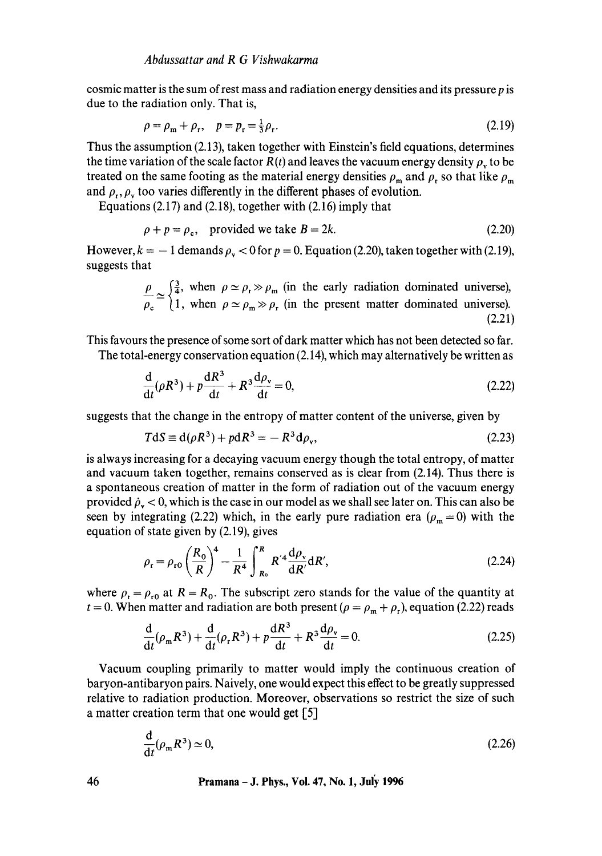cosmic matter is the sum of rest mass and radiation energy densities and its pressure p is due to the radiation only. That is,

$$
\rho = \rho_{\rm m} + \rho_{\rm r}, \quad p = p_{\rm r} = \frac{1}{3}\rho_{\rm r}.
$$
\n(2.19)

Thus the assumption (2.13), taken together with Einstein's field equations, determines the time variation of the scale factor  $R(t)$  and leaves the vacuum energy density  $\rho_{v}$  to be treated on the same footing as the material energy densities  $\rho_m$  and  $\rho_r$  so that like  $\rho_m$ and  $\rho_r$ ,  $\rho_v$  too varies differently in the different phases of evolution.

Equations (2.17) and (2.18), together with (2.16) imply that

$$
\rho + p = \rho_c, \quad \text{provided we take } B = 2k. \tag{2.20}
$$

However,  $k = -1$  demands  $\rho_{\rm v} < 0$  for  $p = 0$ . Equation (2.20), taken together with (2.19), suggests that

$$
\frac{\rho}{\rho_c} \simeq \begin{cases} \frac{3}{4}, & \text{when } \rho \simeq \rho_r \gg \rho_m \text{ (in the early radiation dominated universe),} \\ 1, & \text{when } \rho \simeq \rho_m \gg \rho_r \text{ (in the present matter dominated universe).} \end{cases}
$$
\n(2.21)

This favours the presence of some sort of dark matter which has not been detected so far.

The total-energy conservation equation (2.14), which may alternatively be written as

$$
\frac{\mathrm{d}}{\mathrm{d}t}(\rho R^3) + p\frac{\mathrm{d}R^3}{\mathrm{d}t} + R^3 \frac{\mathrm{d}\rho_v}{\mathrm{d}t} = 0,\tag{2.22}
$$

suggests that the change in the entropy of matter content of the universe, given by

$$
T\mathrm{d}S \equiv \mathrm{d}(\rho R^3) + p\mathrm{d}R^3 = -R^3\mathrm{d}\rho_v,\tag{2.23}
$$

is always increasing for a decaying vacuum energy though the total entropy, of matter and vacuum taken together, remains conserved as is clear from (2.14). Thus there is a spontaneous creation of matter in the form of radiation out of the vacuum energy provided  $\rho_v < 0$ , which is the case in our model as we shall see later on. This can also be seen by integrating (2.22) which, in the early pure radiation era ( $\rho_m = 0$ ) with the equation of state given by (2.19), gives

$$
\rho_{\rm r} = \rho_{\rm r0} \left(\frac{R_{\rm o}}{R}\right)^4 - \frac{1}{R^4} \int_{R_{\rm o}}^R R'^4 \frac{\mathrm{d}\rho_{\rm v}}{\mathrm{d}R'} \mathrm{d}R',\tag{2.24}
$$

where  $\rho_r = \rho_{r0}$  at  $R = R_0$ . The subscript zero stands for the value of the quantity at  $t = 0$ . When matter and radiation are both present ( $\rho = \rho_m + \rho_r$ ), equation (2.22) reads

$$
\frac{d}{dt}(\rho_m R^3) + \frac{d}{dt}(\rho_r R^3) + p\frac{dR^3}{dt} + R^3 \frac{d\rho_v}{dt} = 0.
$$
 (2.25)

Vacuum coupling primarily to matter would imply the continuous creation of baryon-antibaryon pairs. Naively, one would expect this effect to be greatly suppressed relative to radiation production. Moreover, observations so restrict the size of such a matter creation term that one would get [5]

$$
\frac{\mathrm{d}}{\mathrm{d}t}(\rho_{\mathrm{m}}R^3) \simeq 0,\tag{2.26}
$$

**46 Pramana - J. Phys., Vol. 47, No. 1, July 1996**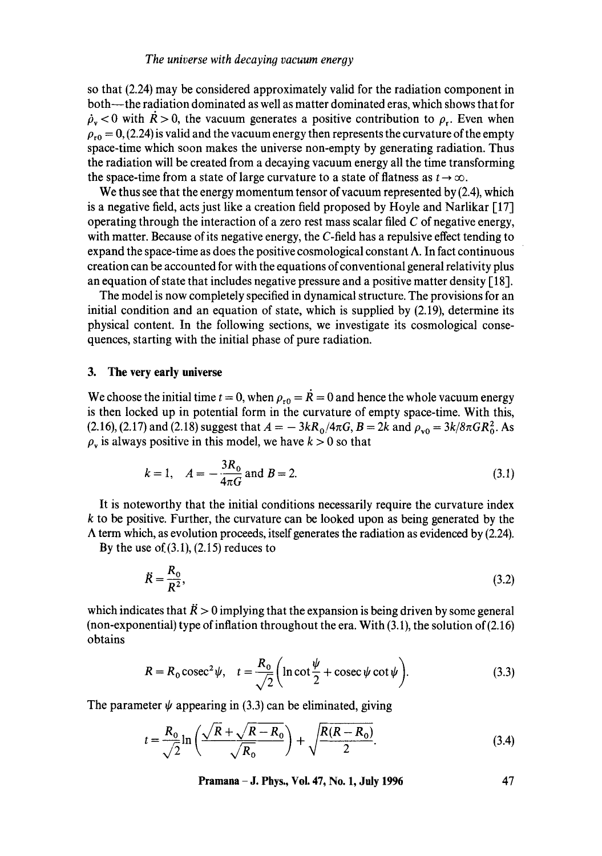so that (2.24) may be considered approximately valid for the radiation component in both--the radiation dominated as well as matter dominated eras, which shows that for  $\dot{\rho}_v$  < 0 with  $\dot{R} > 0$ , the vacuum generates a positive contribution to  $\rho_r$ . Even when  $\rho_{\rm ro} = 0$ , (2.24) is valid and the vacuum energy then represents the curvature of the empty space-time which soon makes the universe non-empty by generating radiation. Thus the radiation will be created from a decaying vacuum energy all the time transforming the space-time from a state of large curvature to a state of flatness as  $t \to \infty$ .

We thus see that the energy momentum tensor of vacuum represented by (2.4), which is a negative field, acts just like a creation field proposed by Hoyle and Narlikar [17] operating through the interaction of a zero rest mass scalar filed  $C$  of negative energy, with matter. Because of its negative energy, the C-field has a repulsive effect tending to expand the space-time as does the positive cosmological constant  $\Lambda$ . In fact continuous creation can be accounted for with the equations of conventional general relativity plus an equation of state that includes negative pressure and a positive matter density [18].

The model is now completely specified in dynamical structure. The provisions for an initial condition and an equation of state, which is supplied by (2.19), determine its physical content. In the following sections, we investigate its cosmological consequences, starting with the initial phase of pure radiation.

## **3. The very early universe**

We choose the initial time  $t = 0$ , when  $\rho_{r0} = \dot{R} = 0$  and hence the whole vacuum energy is then locked up in potential form in the curvature of empty space-time. With this, (2.16), (2.17) and (2.18) suggest that  $A = -3kR_0/4\pi G$ ,  $B = 2k$  and  $\rho_{v0} = 3k/8\pi GR_0^2$ . As  $\rho_{\rm v}$  is always positive in this model, we have  $k > 0$  so that

$$
k = 1
$$
,  $A = -\frac{3R_0}{4\pi G}$  and  $B = 2$ . (3.1)

It is noteworthy that the initial conditions necessarily require the curvature index  $k$  to be positive. Further, the curvature can be looked upon as being generated by the  $\Lambda$  term which, as evolution proceeds, itself generates the radiation as evidenced by (2.24).

By the use of  $(3.1)$ ,  $(2.15)$  reduces to

$$
\ddot{R} = \frac{R_0}{R^2},\tag{3.2}
$$

which indicates that  $\ddot{R} > 0$  implying that the expansion is being driven by some general (non-exponential) type of inflation throughout the era. With (3.1), the solution of (2.16) obtains

$$
R = R_0 \csc^2 \psi, \quad t = \frac{R_0}{\sqrt{2}} \left( \ln \cot \frac{\psi}{2} + \csc \psi \cot \psi \right). \tag{3.3}
$$

The parameter  $\psi$  appearing in (3.3) can be eliminated, giving

$$
t = \frac{R_0}{\sqrt{2}} \ln \left( \frac{\sqrt{R} + \sqrt{R - R_0}}{\sqrt{R_0}} \right) + \sqrt{\frac{R(R - R_0)}{2}}.
$$
 (3.4)

**Pramana - J. Phys., Vol. 47, No. 1, July 1996 47**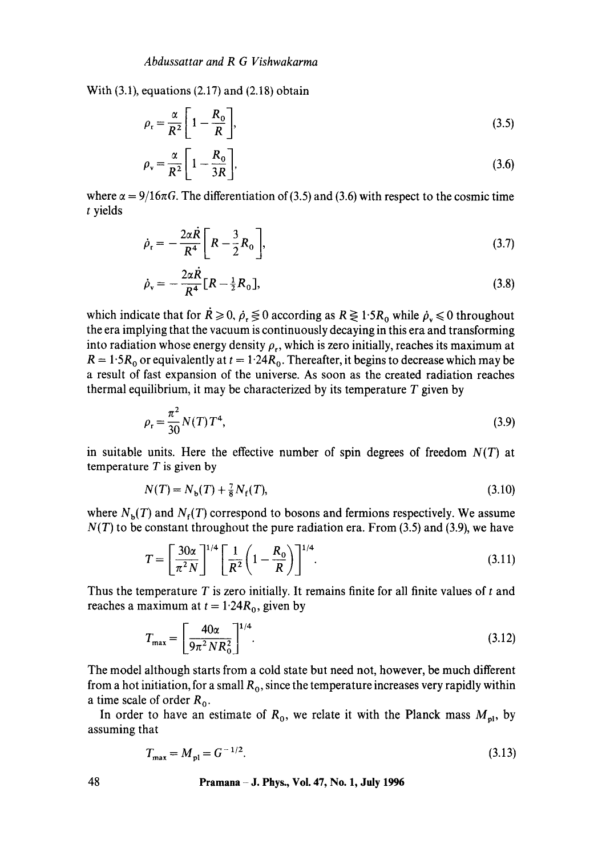With  $(3.1)$ , equations  $(2.17)$  and  $(2.18)$  obtain

$$
\rho_{\rm r} = \frac{\alpha}{R^2} \left[ 1 - \frac{R_0}{R} \right],\tag{3.5}
$$

$$
\rho_{\rm v} = \frac{\alpha}{R^2} \left[ 1 - \frac{R_0}{3R} \right],\tag{3.6}
$$

where  $\alpha = 9/16\pi G$ . The differentiation of (3.5) and (3.6) with respect to the cosmic time t yields

$$
\dot{\rho}_r = -\frac{2\alpha \dot{R}}{R^4} \left[ R - \frac{3}{2} R_0 \right],
$$
\n(3.7)

$$
\dot{\rho}_{\rm v} = -\frac{2\alpha \dot{R}}{R^4} [R - \frac{1}{2} R_0], \tag{3.8}
$$

which indicate that for  $R \ge 0$ ,  $\rho_r \le 0$  according as  $R \ge 1.5R_0$  while  $\rho_r \le 0$  throughout the era implying that the vacuum is continuously decaying in this era and transforming into radiation whose energy density  $\rho_r$ , which is zero initially, reaches its maximum at  $R = 1.5R_0$  or equivalently at  $t = 1.24R_0$ . Thereafter, it begins to decrease which may be a result of fast expansion of the universe. As soon as the created radiation reaches thermal equilibrium, it may be characterized by its temperature  $T$  given by

$$
\rho_{\rm r} = \frac{\pi^2}{30} N(T) T^4,\tag{3.9}
$$

in suitable units. Here the effective number of spin degrees of freedom *N(T)* at temperature  $T$  is given by

$$
N(T) = N_{\rm b}(T) + \frac{7}{8}N_{\rm f}(T),\tag{3.10}
$$

where  $N<sub>b</sub>(T)$  and  $N<sub>f</sub>(T)$  correspond to bosons and fermions respectively. We assume  $N(T)$  to be constant throughout the pure radiation era. From (3.5) and (3.9), we have

$$
T = \left[\frac{30\alpha}{\pi^2 N}\right]^{1/4} \left[\frac{1}{R^2} \left(1 - \frac{R_0}{R}\right)\right]^{1/4}.
$$
 (3.11)

Thus the temperature  $T$  is zero initially. It remains finite for all finite values of  $t$  and reaches a maximum at  $t = 1.24R_0$ , given by

$$
T_{\text{max}} = \left[\frac{40\alpha}{9\pi^2 N R_0^2}\right]^{1/4}.\tag{3.12}
$$

The model although starts from a cold state but need not, however, be much different from a hot initiation, for a small  $R_0$ , since the temperature increases very rapidly within a time scale of order  $R_0$ .

In order to have an estimate of  $R_0$ , we relate it with the Planck mass  $M_{pl}$ , by assuming that

$$
T_{\text{max}} = M_{\text{pl}} = G^{-1/2}.
$$
\n(3.13)

**48 Pramana - J. Phys., Vol. 47, No. 1, July 1996**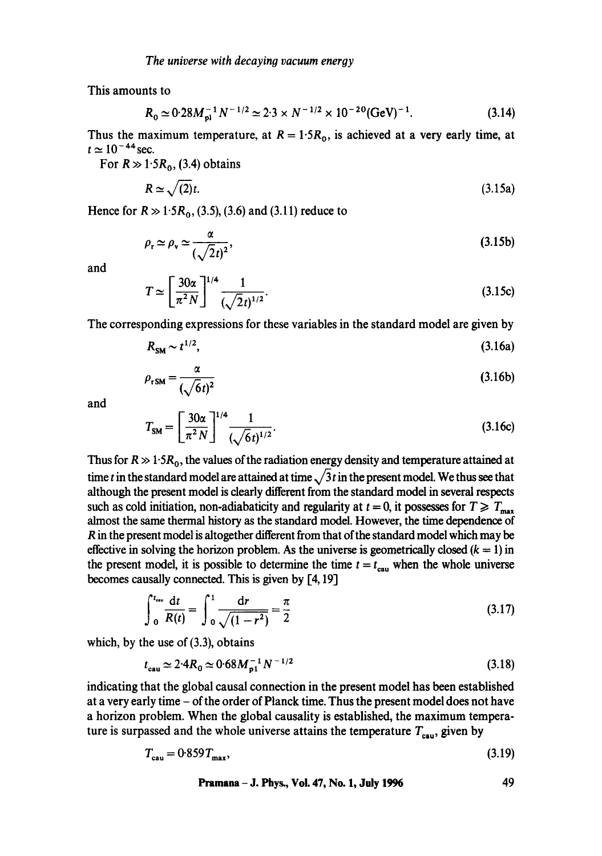This amounts to

$$
R_0 \simeq 0.28 M_{\rm pl}^{-1} N^{-1/2} \simeq 2.3 \times N^{-1/2} \times 10^{-20} (\text{GeV})^{-1}.
$$
 (3.14)

Thus the maximum temperature, at  $R = 1.5R_0$ , is achieved at a very early time, at  $t \approx 10^{-44}$  sec.

For  $R \gg 1.5R_0$ , (3.4) obtains

$$
R \simeq \sqrt{(2)}t. \tag{3.15a}
$$

Hence for  $R \gg 1.5R_0$ , (3.5), (3.6) and (3.11) reduce to

$$
\rho_{\rm r} \simeq \rho_{\rm v} \simeq \frac{\alpha}{(\sqrt{2}t)^2},\tag{3.15b}
$$

and

$$
T \simeq \left[\frac{30\alpha}{\pi^2 N}\right]^{1/4} \frac{1}{(\sqrt{2}t)^{1/2}}.
$$
 (3.15c)

The corresponding expressions for these variables in the standard model are given by

$$
R_{\rm SM} \sim t^{1/2},\tag{3.16a}
$$

$$
\rho_{rSM} = \frac{\alpha}{(\sqrt{6}t)^2} \tag{3.16b}
$$

and

$$
T_{\rm SM} = \left[\frac{30\alpha}{\pi^2 N}\right]^{1/4} \frac{1}{(\sqrt{6}t)^{1/2}}.
$$
 (3.16c)

Thus for  $R \gg 1.5R_0$ , the values of the radiation energy density and temperature attained at time t in the standard model are attained at time  $\sqrt{3}t$  in the present model. We thus see that although the present model is clearly different from the standard model in several respects such as cold initiation, non-adiabaticity and regularity at  $t = 0$ , it possesses for  $T \geq T_{\text{max}}$ almost the same thermal history as the standard model. However, the time dependence of R in the present model is altogether different from that of the standard model which may be effective in solving the horizon problem. As the universe is geometrically closed  $(k = 1)$  in the present model, it is possible to determine the time  $t = t_{\text{can}}$  when the whole universe becomes causally connected. This is given by [4,19]

$$
\int_0^{t_{\rm cm}} \frac{\mathrm{d}t}{R(t)} = \int_0^1 \frac{\mathrm{d}r}{\sqrt{(1 - r^2)}} = \frac{\pi}{2} \tag{3.17}
$$

which, by the use of (3.3), obtains

$$
t_{\text{cau}} \simeq 2.4R_0 \simeq 0.68M_{\text{p1}}^{-1}N^{-1/2} \tag{3.18}
$$

indicating that the global causal connection in the present model has been established at a very early time - of the order of Planck time. Thus the present model does not have a horizon problem. When the global causality is established, the maximum temperature is surpassed and the whole universe attains the temperature  $T_{\text{cau}}$ , given by

$$
T_{\text{cau}} = 0.859 T_{\text{max}},\tag{3.19}
$$

**Pramana- J. Phys., Vol. 47, No. 1, July 1996 49**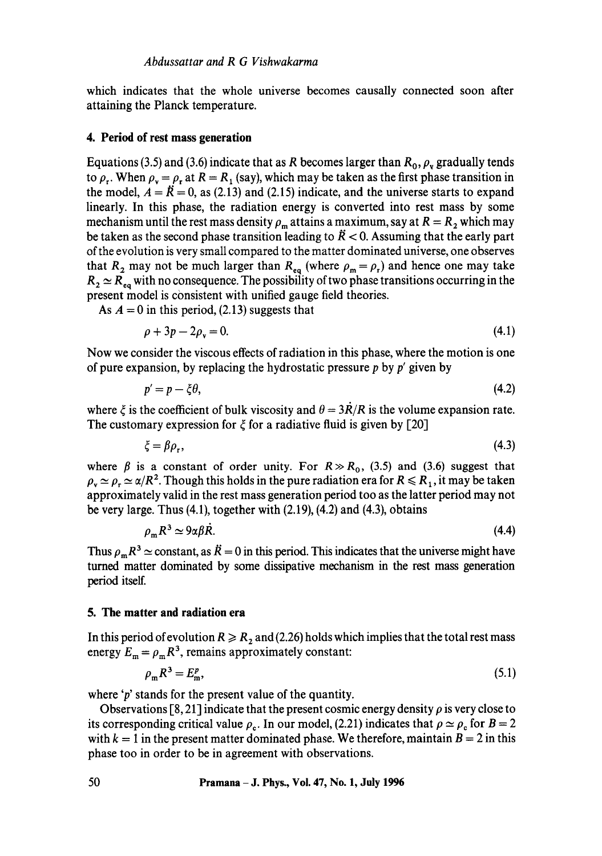which indicates that the whole universe becomes causally connected soon after attaining the Planck temperature.

#### **4. Period of rest mass generation**

Equations (3.5) and (3.6) indicate that as R becomes larger than  $R_0$ ,  $\rho<sub>v</sub>$  gradually tends to  $\rho_r$ . When  $\rho_v = \rho_r$  at  $R = R_1$  (say), which may be taken as the first phase transition in the model,  $A = \ddot{R} = 0$ , as (2.13) and (2.15) indicate, and the universe starts to expand linearly. In this phase, the radiation energy is converted into rest mass by some mechanism until the rest mass density  $\rho_m$  attains a maximum, say at  $R = R_2$  which may be taken as the second phase transition leading to  $\ddot{R} < 0$ . Assuming that the early part of the evolution is very small compared to the matter dominated universe, one observes that R<sub>2</sub> may not be much larger than R<sub>eq</sub> (where  $\rho_m = \rho_r$ ) and hence one may take  $R_2 \simeq R_{eq}$  with no consequence. The possibility of two phase transitions occurring in the present model is consistent with unified gauge field theories.

As  $A = 0$  in this period, (2.13) suggests that

$$
\rho + 3p - 2\rho_v = 0. \tag{4.1}
$$

Now we consider the viscous effects of radiation in this phase, where the motion is one of pure expansion, by replacing the hydrostatic pressure  $p$  by  $p'$  given by

$$
p'=p-\xi\theta,\tag{4.2}
$$

where  $\zeta$  is the coefficient of bulk viscosity and  $\theta = 3R/R$  is the volume expansion rate. The customary expression for  $\xi$  for a radiative fluid is given by [20]

$$
\xi = \beta \rho_r,\tag{4.3}
$$

where  $\beta$  is a constant of order unity. For  $R \gg R_0$ , (3.5) and (3.6) suggest that  $\rho_r \simeq \rho_r \simeq \alpha/R^2$ . Though this holds in the pure radiation era for  $R \le R_1$ , it may be taken approximately valid in the rest mass generation period too as the latter period may not be very large. Thus (4.1), together with (2.19), (4.2) and (4.3), obtains

$$
\rho_{\rm m} R^3 \simeq 9\alpha \beta R. \tag{4.4}
$$

Thus  $\rho_m R^3 \simeq$  constant, as  $\ddot{R} = 0$  in this period. This indicates that the universe might have turned matter dominated by some dissipative mechanism in the rest mass generation period itself.

### **5. The matter and radiation era**

In this period of evolution  $R \ge R_2$  and (2.26) holds which implies that the total rest mass energy  $E_m = \rho_m R^3$ , remains approximately constant:

$$
\rho_{\mathbf{m}} R^3 = E_{\mathbf{m}}^p,\tag{5.1}
$$

where 'p' stands for the present value of the quantity.

Observations [8, 21] indicate that the present cosmic energy density  $\rho$  is very close to its corresponding critical value  $\rho_c$ . In our model, (2.21) indicates that  $\rho \simeq \rho_c$  for  $B = 2$ with  $k = 1$  in the present matter dominated phase. We therefore, maintain  $B = 2$  in this phase too in order to be in agreement with observations.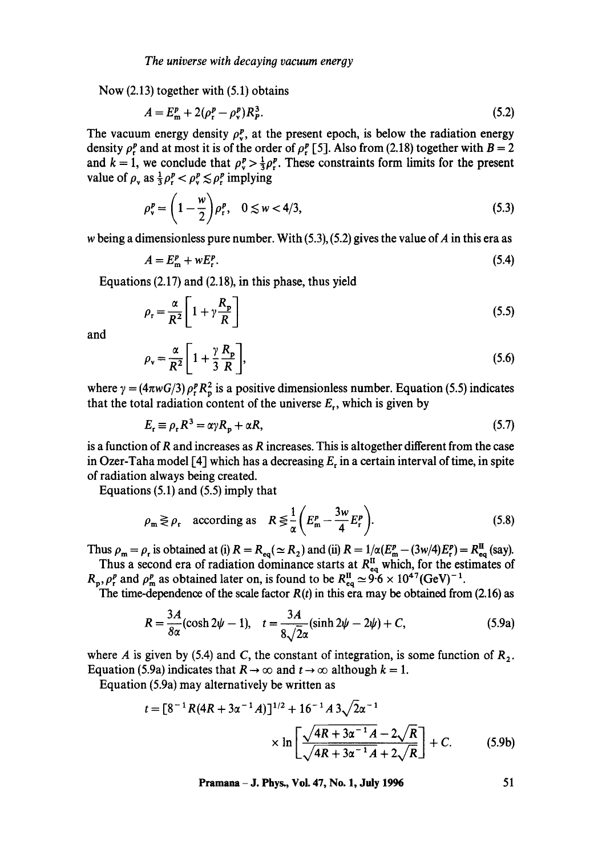Now (2.13) together with (5.1) obtains

$$
A = E_{\rm m}^p + 2(\rho_{\rm r}^p - \rho_{\rm v}^p) R_p^3. \tag{5.2}
$$

The vacuum energy density  $\rho_v^p$ , at the present epoch, is below the radiation energy density  $\rho_r^p$  and at most it is of the order of  $\rho_r^p$  [5]. Also from (2.18) together with  $B = 2$ and  $k = 1$ , we conclude that  $\rho_v^p > \frac{1}{3} \rho_v^p$ . These constraints form limits for the present value of  $\rho_r$  as  $\frac{1}{3}\rho_r^p < \rho_r^p \le \rho_r^p$  implying

$$
\rho_v^p = \left(1 - \frac{w}{2}\right) \rho_r^p, \quad 0 \le w < 4/3,\tag{5.3}
$$

w being a dimensionless pure number. With  $(5.3)$ ,  $(5.2)$  gives the value of A in this era as

$$
A = E_{\rm m}^p + w E_{\rm r}^p. \tag{5.4}
$$

Equations (2.17) and (2.18), in this phase, thus yield

$$
\rho_r = \frac{\alpha}{R^2} \left[ 1 + \gamma \frac{R_p}{R} \right] \tag{5.5}
$$

and

$$
\rho_{\rm v} = \frac{\alpha}{R^2} \left[ 1 + \frac{\gamma}{3} \frac{R_{\rm p}}{R} \right],\tag{5.6}
$$

where  $\gamma = (4\pi w G/3) \rho_r^p R_p^2$  is a positive dimensionless number. Equation (5.5) indicates that the total radiation content of the universe  $E_r$ , which is given by

$$
E_{\rm r} \equiv \rho_{\rm r} R^3 = \alpha \gamma R_{\rm p} + \alpha R, \tag{5.7}
$$

is a function of R and increases as R increases. This is altogether different from the case in Ozer-Taha model [4] which has a decreasing  $E_r$  in a certain interval of time, in spite of radiation always being created.

Equations (5.1) and (5.5) imply that

$$
\rho_{\mathfrak{m}} \gtrless \rho_{\mathfrak{r}} \quad \text{according as} \quad R \lessgtr \frac{1}{\alpha} \bigg( E_{\mathfrak{m}}^p - \frac{3w}{4} E_{\mathfrak{r}}^p \bigg). \tag{5.8}
$$

Thus  $\rho_m = \rho_r$  is obtained at (i)  $R = R_{eq} (\simeq R_2)$  and (ii)  $R = 1/\alpha (E_m^p - (3w/4)E_r^p) = R_{eq}^{\text{II}}$  (say). Thus a second era of radiation dominance starts at  $R_{eq}^{\text{II}}$  which, for the estimates of

 $R_p$ ,  $\rho_r^p$  and  $\rho_m^p$  as obtained later on, is found to be  $R_{eq}^{\text{II}} \simeq 9.6 \times 10^{47} (\text{GeV})^{-1}$ .

The time-dependence of the scale factor  $R(t)$  in this era may be obtained from (2.16) as

$$
R = \frac{3A}{8\alpha}(\cosh 2\psi - 1), \quad t = \frac{3A}{8\sqrt{2}\alpha}(\sinh 2\psi - 2\psi) + C,\tag{5.9a}
$$

where A is given by (5.4) and C, the constant of integration, is some function of  $R_2$ . Equation (5.9a) indicates that  $R \to \infty$  and  $t \to \infty$  although  $k = 1$ .

Equation (5.9a) may alternatively be written as

$$
t = [8^{-1}R(4R + 3\alpha^{-1}A)]^{1/2} + 16^{-1}A\,3\sqrt{2}\alpha^{-1}
$$

$$
\times \ln\left[\frac{\sqrt{4R + 3\alpha^{-1}A} - 2\sqrt{R}}{\sqrt{4R + 3\alpha^{-1}A} + 2\sqrt{R}}\right] + C.
$$
(5.9b)

**Pramana – J. Phys., Vol. 47, No. 1, July 1996** 51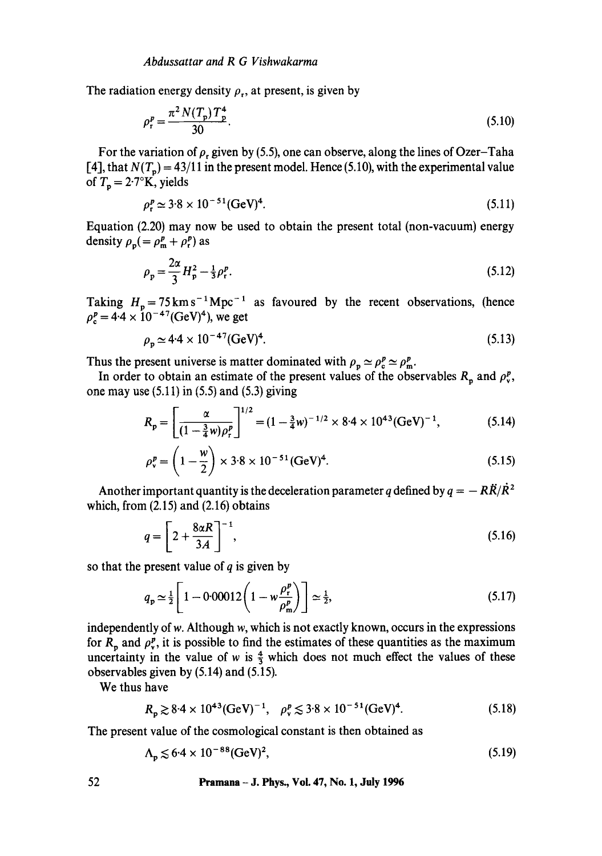The radiation energy density  $\rho_r$ , at present, is given by

$$
\rho_r^p = \frac{\pi^2 N(T_p) T_p^4}{30}.
$$
\n(5.10)

For the variation of  $\rho$ , given by (5.5), one can observe, along the lines of Ozer-Taha [4], that  $N(T_p) = 43/11$  in the present model. Hence (5.10), with the experimental value of  $T_p = 2.7$ °K, yields

$$
\rho_r^p \simeq 3.8 \times 10^{-51} (\text{GeV})^4. \tag{5.11}
$$

Equation (2.20) may now be used to obtain the present total (non-vacuum) energy density  $\rho_p (= \rho_m^p + \rho_r^p)$  as

$$
\rho_p = \frac{2\alpha}{3} H_p^2 - \frac{1}{3} \rho_r^p. \tag{5.12}
$$

Taking  $H_p = 75 \text{ km s}^{-1} \text{ Mpc}^{-1}$  as favoured by the recent observations, (hence  $\rho_c^p = 4.4 \times 10^{-47} (\text{GeV})^4$ , we get

$$
\rho_p \simeq 4.4 \times 10^{-47} (\text{GeV})^4. \tag{5.13}
$$

Thus the present universe is matter dominated with  $\rho_p \simeq \rho_p^p \simeq \rho_m^p$ .

In order to obtain an estimate of the present values of the observables  $R_p$  and  $\rho_r^p$ , one may use  $(5.11)$  in  $(5.5)$  and  $(5.3)$  giving

$$
R_{\rm p} = \left[\frac{\alpha}{(1 - \frac{3}{4}w)\rho_{\rm r}^p}\right]^{1/2} = (1 - \frac{3}{4}w)^{-1/2} \times 8.4 \times 10^{43} (\text{GeV})^{-1},\tag{5.14}
$$

$$
\rho_v^p = \left(1 - \frac{w}{2}\right) \times 3.8 \times 10^{-51} (\text{GeV})^4. \tag{5.15}
$$

Another important quantity is the deceleration parameter q defined by  $q = -R\ddot{R}/\dot{R}^2$ which, from (2.15) and (2.16) obtains

$$
q = \left[2 + \frac{8\alpha R}{3A}\right]^{-1},\tag{5.16}
$$

so that the present value of  $q$  is given by

$$
q_{\rm p} \simeq \frac{1}{2} \left[ 1 - 0.00012 \left( 1 - w \frac{\rho_{\rm p}^p}{\rho_{\rm m}^p} \right) \right] \simeq \frac{1}{2},\tag{5.17}
$$

independently of w. Although w, which is not exactly known, occurs in the expressions for  $R_p$  and  $\rho_v^p$ , it is possible to find the estimates of these quantities as the maximum uncertainty in the value of w is  $\frac{4}{3}$  which does not much effect the values of these observables given by (5.14) and (5.15).

We thus have

$$
R_p \gtrsim 8.4 \times 10^{43} (\text{GeV})^{-1}, \quad \rho_v^p \lesssim 3.8 \times 10^{-51} (\text{GeV})^4. \tag{5.18}
$$

The present value of the cosmological constant is then obtained as

$$
\Lambda_{\rm p} \lesssim 6.4 \times 10^{-88} (\text{GeV})^2, \tag{5.19}
$$

52 **Pramana - J. Phys., Vol. 47, No. 1, July 1996**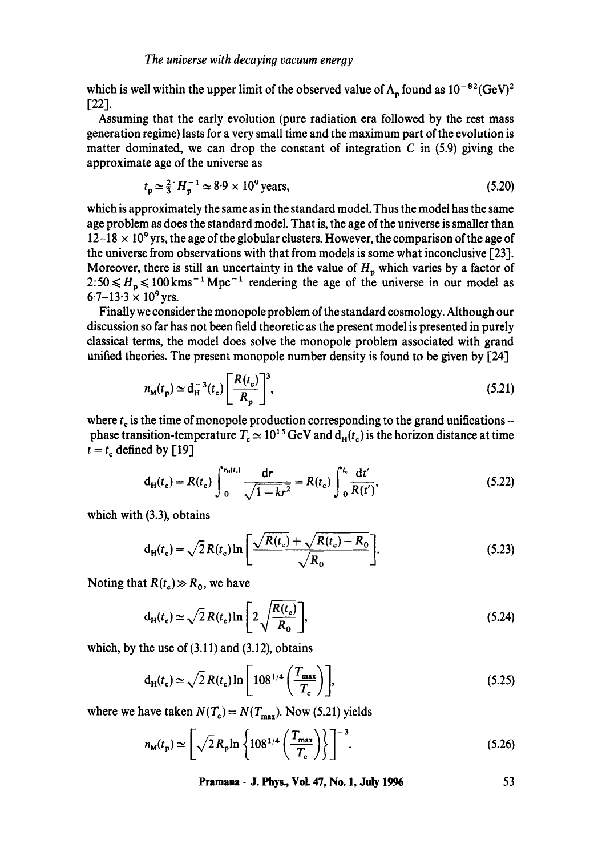#### *The universe with decayin9 vacuum energy*

which is well within the upper limit of the observed value of  $\Lambda_n$  found as  $10^{-82}(\text{GeV})^2$ [22].

Assuming that the early evolution (pure radiation era followed by the rest mass generation regime) lasts for a very small time and the maximum part of the evolution is matter dominated, we can drop the constant of integration  $C$  in (5.9) giving the approximate age of the universe as

$$
t_p \simeq \frac{2}{3} H_p^{-1} \simeq 8.9 \times 10^9 \text{ years},\tag{5.20}
$$

which is approximately the same as in the standard model. Thus the model has the same age problem as does the standard model. That is, the age of the universe is smaller than  $12-18 \times 10^9$  yrs, the age of the globular clusters. However, the comparison of the age of the universe from observations with that from models is some what inconclusive [23]. Moreover, there is still an uncertainty in the value of  $H_p$  which varies by a factor of  $2:50 \leq H_n \leq 100$  kms<sup>-1</sup> Mpc<sup>-1</sup> rendering the age of the universe in our model as  $6.7-13.3 \times 10^9$  yrs.

Finally we consider the monopole problem of the standard cosmology. Although our discussion so far has not been field theoretic as the present model is presented in purely classical terms, the model does solve the monopole problem associated with grand unified theories. The present monopole number density is found to be given by [24]

$$
n_{\mathbf{M}}(t_{\mathbf{p}}) \simeq d_{\mathbf{H}}^{-3}(t_{\mathbf{c}}) \left[\frac{R(t_{\mathbf{c}})}{R_{\mathbf{p}}}\right]^{3},\tag{5.21}
$$

where  $t_c$  is the time of monopole production corresponding to the grand unifications phase transition-temperature  $T_c \simeq 10^{15} \text{ GeV}$  and  $d_H(t_c)$  is the horizon distance at time  $t = t_c$  defined by [19]

$$
d_H(t_c) = R(t_c) \int_0^{r_H(t_c)} \frac{dr}{\sqrt{1 - kr^2}} = R(t_c) \int_0^{t_c} \frac{dt'}{R(t')},
$$
\n(5.22)

which with (3.3), obtains

$$
d_{H}(t_{c}) = \sqrt{2} R(t_{c}) \ln \left[ \frac{\sqrt{R(t_{c})} + \sqrt{R(t_{c}) - R_{0}}}{\sqrt{R_{0}}} \right].
$$
 (5.23)

Noting that  $R(t_c) \gg R_0$ , we have

$$
d_H(t_c) \simeq \sqrt{2} R(t_c) \ln \left[ 2 \sqrt{\frac{R(t_c)}{R_0}} \right],
$$
\n(5.24)

which, by the use of  $(3.11)$  and  $(3.12)$ , obtains

$$
d_H(t_c) \simeq \sqrt{2} R(t_c) \ln \left[ 108^{1/4} \left( \frac{T_{\text{max}}}{T_c} \right) \right],\tag{5.25}
$$

where we have taken  $N(T_c) = N(T_{max})$ . Now (5.21) yields

$$
n_{\rm M}(t_{\rm p}) \simeq \left[\sqrt{2} R_{\rm p} \ln \left\{ 108^{1/4} \left( \frac{T_{\rm max}}{T_{\rm c}} \right) \right\} \right]^{-3}.
$$
 (5.26)

**Pramana - J. Phys., Vol. 47, No. 1, July 1996 53**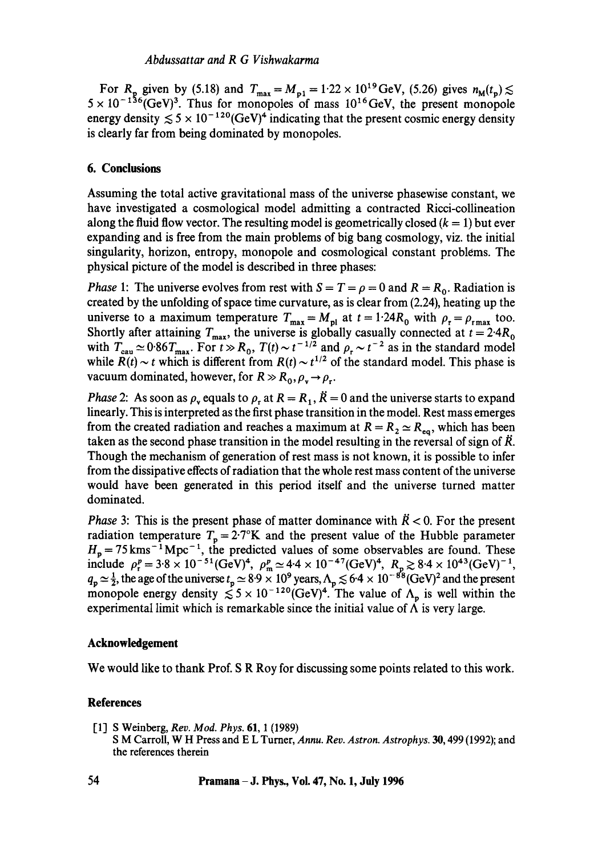For R<sub>p</sub> given by (5.18) and  $T_{\text{max}} = M_{p1} = 1.22 \times 10^{19} \text{ GeV}$ , (5.26) gives  $n_{\text{M}}(t_p)$ ;  $5 \times 10^{-136}$  GeV)<sup>3</sup>. Thus for monopoles of mass  $10^{16}$  GeV, the present monopole energy density  $\leq 5 \times 10^{-120}$  GeV)<sup>4</sup> indicating that the present cosmic energy density is clearly far from being dominated by monopoles.

# **6. Conclusions**

Assuming the total active gravitational mass of the universe phasewise constant, we have investigated a cosmological model admitting a contracted Ricci-collineation along the fluid flow vector. The resulting model is geometrically closed  $(k = 1)$  but ever expanding and is free from the main problems of big bang cosmology, viz. the initial singularity, horizon, entropy, monopole and cosmological constant problems. The physical picture of the model is described in three phases:

*Phase* 1: The universe evolves from rest with  $S = T = \rho = 0$  and  $R = R_0$ . Radiation is created by the unfolding of space time curvature, as is clear from (2.24), heating up the universe to a maximum temperature  $T_{\text{max}} = M_{\text{pl}}$  at  $t = 1.24 R_0$  with  $\rho_r = \rho_{\text{rmax}}$  too. Shortly after attaining  $T_{\text{max}}$ , the universe is globally casually connected at  $t = 2.4R_0$ with  $T_{\text{cau}} \approx 0.86T_{\text{max}}$ . For  $t \gg R_0$ ,  $T(t) \sim t^{-1/2}$  and  $\rho_r \sim t^{-2}$  as in the standard model while  $R(t) \sim t$  which is different from  $R(t) \sim t^{1/2}$  of the standard model. This phase is vacuum dominated, however, for  $R \gg R_0$ ,  $\rho_v \rightarrow \rho_r$ .

*Phase 2*: As soon as  $\rho_r$  equals to  $\rho_r$  at  $R = R_1$ ,  $\tilde{R} = 0$  and the universe starts to expand linearly. This is interpreted as the first phase transition in the model. Rest mass emerges from the created radiation and reaches a maximum at  $R = R_2 \simeq R_{\text{eq}}$ , which has been taken as the second phase transition in the model resulting in the reversal of sign of  $\ddot{R}$ . Though the mechanism of generation of rest mass is not known, it is possible to infer from the dissipative effects of radiation that the whole rest mass content of the universe would have been generated in this period itself and the universe turned matter dominated.

*Phase* 3: This is the present phase of matter dominance with  $\ddot{R} < 0$ . For the present radiation temperature  $T_p = 2.7$ °K and the present value of the Hubble parameter  $H_p = 75 \text{ km s}^{-1} \text{ Mpc}^{-1}$ , the predicted values of some observables are found. These include  $\rho_r^p = 3.8 \times 10^{-51} (\text{GeV})^4$ ,  $\rho_m^p \simeq 4.4 \times 10^{-47} (\text{GeV})^4$ ,  $R_p \gtrsim 8.4 \times 10^{43} (\text{GeV})^{-1}$ ,  $q_p \approx \frac{1}{2}$ , the age of the universe  $t_p \approx 8.9 \times 10^9$  years,  $\Lambda_p \lesssim 6.4 \times 10^{-88}$  (GeV)<sup>2</sup> and the present monopole energy density  $\leq 5 \times 10^{-120}$  (GeV)<sup>4</sup>. The value of  $\Lambda_p$  is well within the experimental limit which is remarkable since the initial value of  $\Lambda$  is very large.

# **Acknowledgement**

We would like to thank Prof. S R Roy for discussing some points related to this work.

# **References**

[1] S Weinberg, *Rev. Mod. Phys.* 61, 1 (1989) S M Carroll, W H Press and E L Turner, *Annu. Rev. Astron. Astrophys.* 30, 499 (1992); and the references therein

**54 Pramana- J. Phys., Vol. 47, No. 1, July 1996**